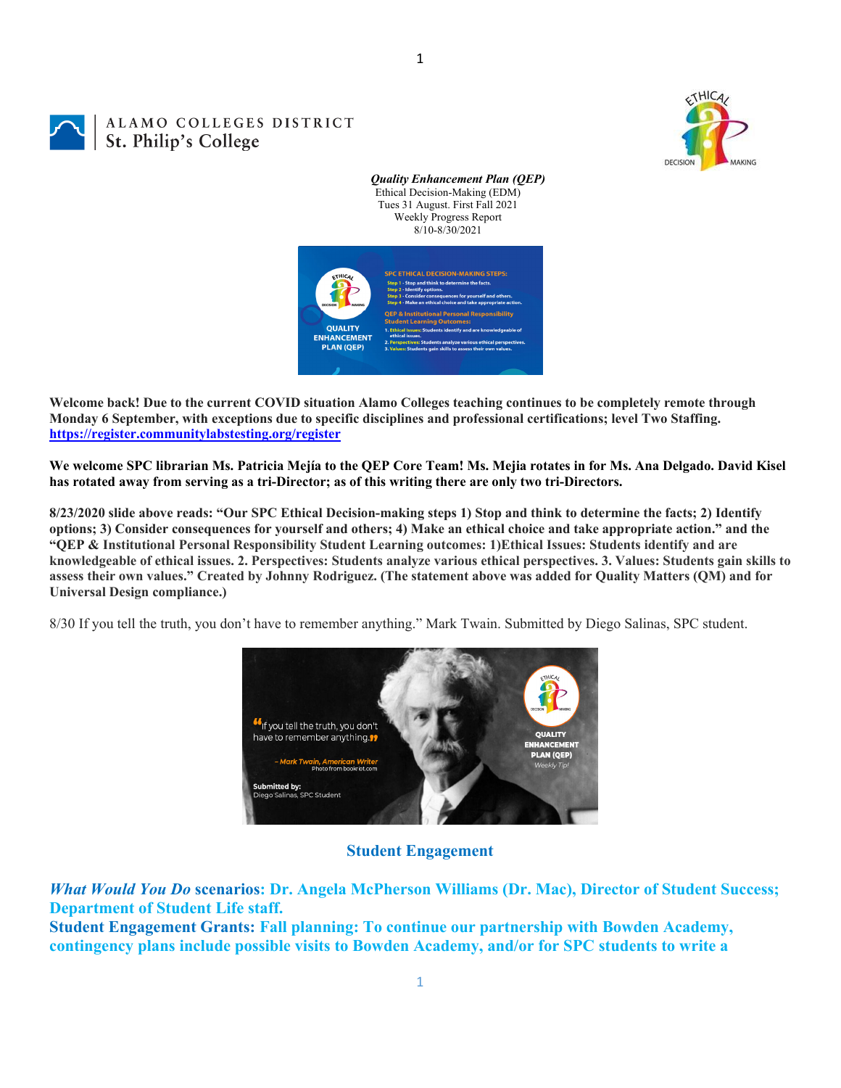

ALAMO COLLEGES DISTRICT St. Philip's College

> *Quality Enhancement Plan (QEP)* Ethical Decision-Making (EDM) Tues 31 August. First Fall 2021 Weekly Progress Report 8/10-8/30/2021



**Welcome back! Due to the current COVID situation Alamo Colleges teaching continues to be completely remote through Monday 6 September, with exceptions due to specific disciplines and professional certifications; level Two Staffing. https://register.communitylabstesting.org/register** 

**We welcome SPC librarian Ms. Patricia Mejía to the QEP Core Team! Ms. Mejia rotates in for Ms. Ana Delgado. David Kisel has rotated away from serving as a tri-Director; as of this writing there are only two tri-Directors.** 

**8/23/2020 slide above reads: "Our SPC Ethical Decision-making steps 1) Stop and think to determine the facts; 2) Identify options; 3) Consider consequences for yourself and others; 4) Make an ethical choice and take appropriate action." and the "QEP & Institutional Personal Responsibility Student Learning outcomes: 1)Ethical Issues: Students identify and are knowledgeable of ethical issues. 2. Perspectives: Students analyze various ethical perspectives. 3. Values: Students gain skills to assess their own values." Created by Johnny Rodriguez. (The statement above was added for Quality Matters (QM) and for Universal Design compliance.)**

8/30 If you tell the truth, you don't have to remember anything." Mark Twain. Submitted by Diego Salinas, SPC student.



**Student Engagement** 

*What Would You Do* **scenarios: Dr. Angela McPherson Williams (Dr. Mac), Director of Student Success; Department of Student Life staff.** 

1

**Student Engagement Grants: Fall planning: To continue our partnership with Bowden Academy, contingency plans include possible visits to Bowden Academy, and/or for SPC students to write a**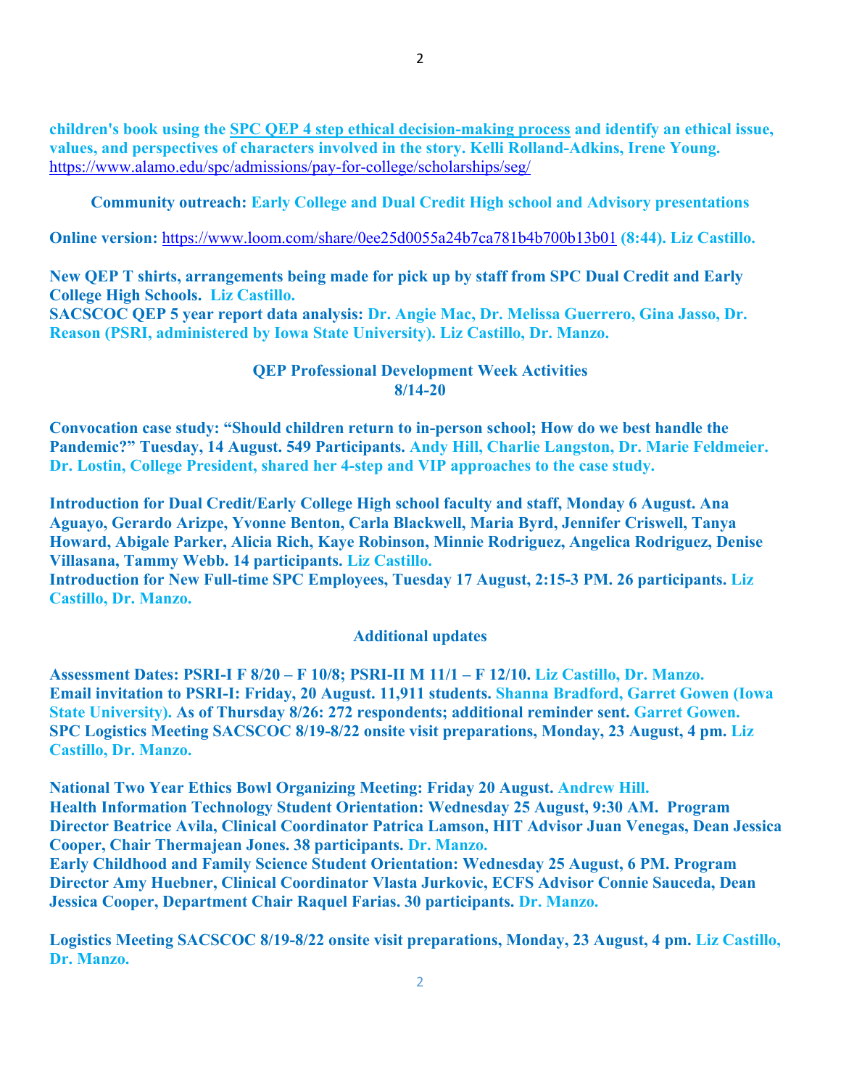**children's book using the SPC QEP 4 step ethical decision-making process and identify an ethical issue, values, and perspectives of characters involved in the story. Kelli Rolland-Adkins, Irene Young.**  https://www.alamo.edu/spc/admissions/pay-for-college/scholarships/seg/

**Community outreach: Early College and Dual Credit High school and Advisory presentations** 

**Online version:** https://www.loom.com/share/0ee25d0055a24b7ca781b4b700b13b01 **(8:44). Liz Castillo.** 

**New QEP T shirts, arrangements being made for pick up by staff from SPC Dual Credit and Early College High Schools. Liz Castillo.**

**SACSCOC QEP 5 year report data analysis: Dr. Angie Mac, Dr. Melissa Guerrero, Gina Jasso, Dr. Reason (PSRI, administered by Iowa State University). Liz Castillo, Dr. Manzo.** 

## **QEP Professional Development Week Activities 8/14-20**

**Convocation case study: "Should children return to in-person school; How do we best handle the Pandemic?" Tuesday, 14 August. 549 Participants. Andy Hill, Charlie Langston, Dr. Marie Feldmeier. Dr. Lostin, College President, shared her 4-step and VIP approaches to the case study.** 

**Introduction for Dual Credit/Early College High school faculty and staff, Monday 6 August. Ana Aguayo, Gerardo Arizpe, Yvonne Benton, Carla Blackwell, Maria Byrd, Jennifer Criswell, Tanya Howard, Abigale Parker, Alicia Rich, Kaye Robinson, Minnie Rodriguez, Angelica Rodriguez, Denise Villasana, Tammy Webb. 14 participants. Liz Castillo.** 

**Introduction for New Full-time SPC Employees, Tuesday 17 August, 2:15-3 PM. 26 participants. Liz Castillo, Dr. Manzo.** 

## **Additional updates**

**Assessment Dates: PSRI-I F 8/20 – F 10/8; PSRI-II M 11/1 – F 12/10. Liz Castillo, Dr. Manzo. Email invitation to PSRI-I: Friday, 20 August. 11,911 students. Shanna Bradford, Garret Gowen (Iowa State University). As of Thursday 8/26: 272 respondents; additional reminder sent. Garret Gowen. SPC Logistics Meeting SACSCOC 8/19-8/22 onsite visit preparations, Monday, 23 August, 4 pm. Liz Castillo, Dr. Manzo.** 

**National Two Year Ethics Bowl Organizing Meeting: Friday 20 August. Andrew Hill. Health Information Technology Student Orientation: Wednesday 25 August, 9:30 AM. Program Director Beatrice Avila, Clinical Coordinator Patrica Lamson, HIT Advisor Juan Venegas, Dean Jessica Cooper, Chair Thermajean Jones. 38 participants. Dr. Manzo.** 

**Early Childhood and Family Science Student Orientation: Wednesday 25 August, 6 PM. Program Director Amy Huebner, Clinical Coordinator Vlasta Jurkovic, ECFS Advisor Connie Sauceda, Dean Jessica Cooper, Department Chair Raquel Farias. 30 participants. Dr. Manzo.** 

**Logistics Meeting SACSCOC 8/19-8/22 onsite visit preparations, Monday, 23 August, 4 pm. Liz Castillo, Dr. Manzo.**